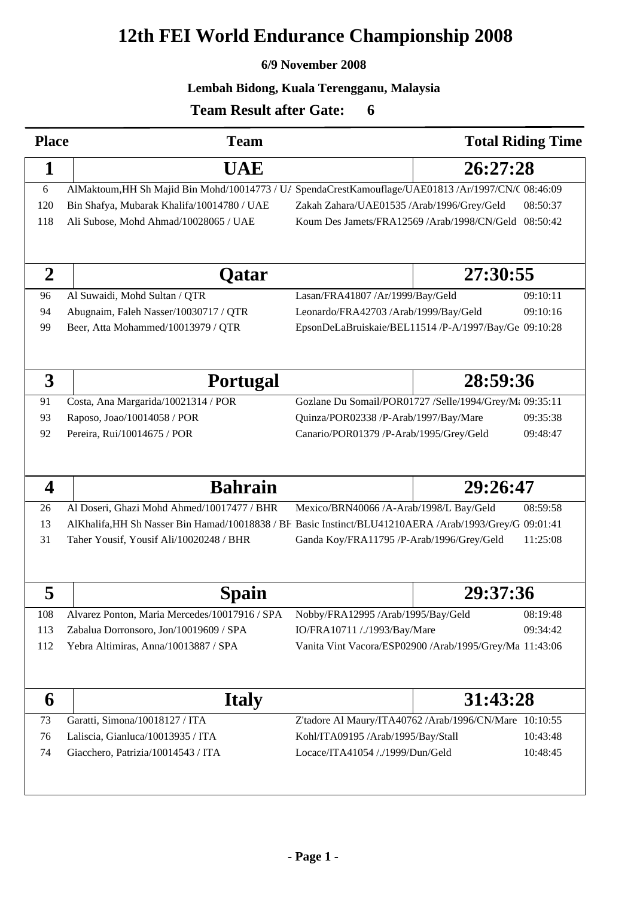# **12th FEI World Endurance Championship 2008**

#### **6/9 November 2008**

#### **Lembah Bidong, Kuala Terengganu, Malaysia**

<sup>50</sup>

### **Team Result after Gate:**

| <b>Place</b>     | <b>Team</b>                                                                                            |                                                                                              |          | <b>Total Riding Time</b> |
|------------------|--------------------------------------------------------------------------------------------------------|----------------------------------------------------------------------------------------------|----------|--------------------------|
| 1                | <b>UAE</b>                                                                                             | 26:27:28                                                                                     |          |                          |
| 6                | AlMaktoum, HH Sh Majid Bin Mohd/10014773 / U/ SpendaCrestKamouflage/UAE01813 /Ar/1997/CN/( 08:46:09    |                                                                                              |          |                          |
| 120              | Bin Shafya, Mubarak Khalifa/10014780 / UAE                                                             | Zakah Zahara/UAE01535 /Arab/1996/Grey/Geld                                                   |          | 08:50:37                 |
| 118              | Ali Subose, Mohd Ahmad/10028065 / UAE                                                                  | Koum Des Jamets/FRA12569 /Arab/1998/CN/Geld 08:50:42                                         |          |                          |
|                  |                                                                                                        |                                                                                              |          |                          |
| $\boldsymbol{2}$ | Qatar                                                                                                  |                                                                                              | 27:30:55 |                          |
| 96               | Al Suwaidi, Mohd Sultan / QTR                                                                          | Lasan/FRA41807 /Ar/1999/Bay/Geld                                                             |          | 09:10:11                 |
| 94               | Abugnaim, Faleh Nasser/10030717 / QTR                                                                  | 09:10:16<br>Leonardo/FRA42703 /Arab/1999/Bay/Geld                                            |          |                          |
| 99               | Beer, Atta Mohammed/10013979 / QTR                                                                     | EpsonDeLaBruiskaie/BEL11514 /P-A/1997/Bay/Ge 09:10:28                                        |          |                          |
|                  |                                                                                                        |                                                                                              |          |                          |
| 3                | <b>Portugal</b>                                                                                        |                                                                                              | 28:59:36 |                          |
| 91               |                                                                                                        |                                                                                              |          |                          |
| 93               | Costa, Ana Margarida/10021314 / POR<br>Raposo, Joao/10014058 / POR                                     | Gozlane Du Somail/POR01727 /Selle/1994/Grey/M: 09:35:11                                      |          |                          |
| 92               | Pereira, Rui/10014675 / POR                                                                            | Quinza/POR02338 /P-Arab/1997/Bay/Mare<br>09:35:38<br>Canario/POR01379 /P-Arab/1995/Grey/Geld |          | 09:48:47                 |
|                  |                                                                                                        |                                                                                              |          |                          |
|                  |                                                                                                        |                                                                                              |          |                          |
|                  |                                                                                                        |                                                                                              |          |                          |
| $\boldsymbol{4}$ | <b>Bahrain</b>                                                                                         |                                                                                              | 29:26:47 |                          |
| 26               | Al Doseri, Ghazi Mohd Ahmed/10017477 / BHR                                                             | Mexico/BRN40066 /A-Arab/1998/L Bay/Geld                                                      |          | 08:59:58                 |
| 13               | AlKhalifa, HH Sh Nasser Bin Hamad/10018838 / BF Basic Instinct/BLU41210AERA /Arab/1993/Grey/G 09:01:41 |                                                                                              |          |                          |
| 31               | Taher Yousif, Yousif Ali/10020248 / BHR                                                                | 11:25:08<br>Ganda Koy/FRA11795 /P-Arab/1996/Grey/Geld                                        |          |                          |
|                  |                                                                                                        |                                                                                              |          |                          |
|                  |                                                                                                        |                                                                                              |          |                          |
| 5                | Spain                                                                                                  |                                                                                              | 29:37:36 |                          |
| 108              | Alvarez Ponton, Maria Mercedes/10017916 / SPA                                                          | Nobby/FRA12995 /Arab/1995/Bay/Geld                                                           |          | 08:19:48                 |
| 113              | Zabalua Dorronsoro, Jon/10019609 / SPA                                                                 | IO/FRA10711 /./1993/Bay/Mare                                                                 |          | 09:34:42                 |
| 112              | Yebra Altimiras, Anna/10013887 / SPA                                                                   | Vanita Vint Vacora/ESP02900 /Arab/1995/Grey/Ma 11:43:06                                      |          |                          |
|                  |                                                                                                        |                                                                                              |          |                          |
|                  |                                                                                                        |                                                                                              |          |                          |
| 6                | <b>Italy</b>                                                                                           |                                                                                              | 31:43:28 |                          |
| 73               | Garatti, Simona/10018127 / ITA                                                                         | Z'tadore Al Maury/ITA40762 /Arab/1996/CN/Mare 10:10:55                                       |          |                          |
| 76               | Laliscia, Gianluca/10013935 / ITA                                                                      | Kohl/ITA09195 /Arab/1995/Bay/Stall                                                           |          | 10:43:48                 |
| 74               | Giacchero, Patrizia/10014543 / ITA                                                                     | Locace/ITA41054 /./1999/Dun/Geld                                                             |          | 10:48:45                 |
|                  |                                                                                                        |                                                                                              |          |                          |
|                  |                                                                                                        |                                                                                              |          |                          |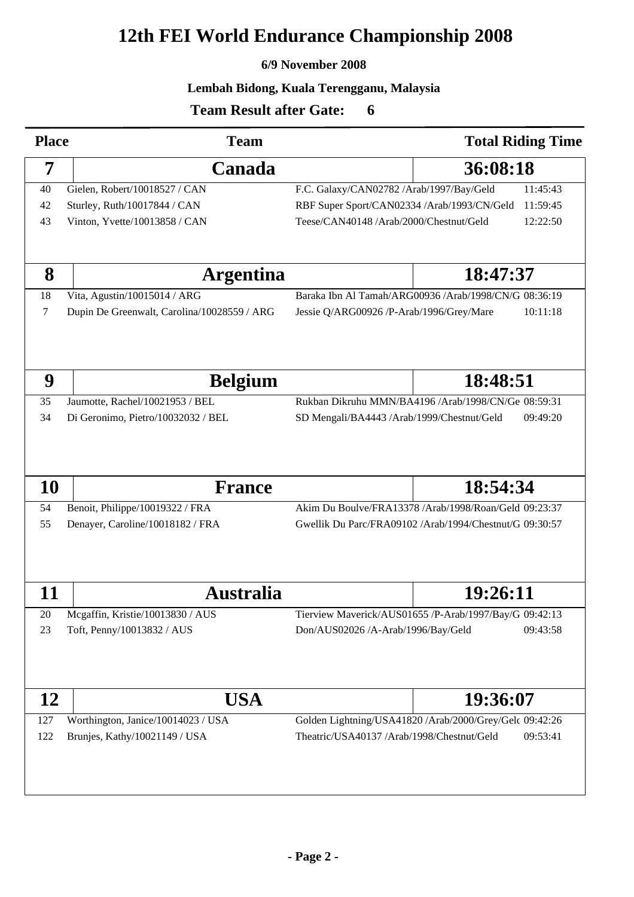# **12th FEI World Endurance Championship 2008**

#### **6/9 November 2008**

#### **Lembah Bidong, Kuala Terengganu, Malaysia**

<sup>50</sup>

### **Team Result after Gate:**

| <b>Place</b> | <b>Team</b>                                 |                                                         | <b>Total Riding Time</b>                                |  |
|--------------|---------------------------------------------|---------------------------------------------------------|---------------------------------------------------------|--|
| 7            | Canada                                      |                                                         | 36:08:18                                                |  |
| 40           | Gielen, Robert/10018527 / CAN               | F.C. Galaxy/CAN02782 /Arab/1997/Bay/Geld<br>11:45:43    |                                                         |  |
| 42           | Sturley, Ruth/10017844 / CAN                | RBF Super Sport/CAN02334 /Arab/1993/CN/Geld<br>11:59:45 |                                                         |  |
| 43           | Vinton, Yvette/10013858 / CAN               | Teese/CAN40148 /Arab/2000/Chestnut/Geld                 | 12:22:50                                                |  |
|              |                                             |                                                         |                                                         |  |
| 8            | <b>Argentina</b>                            |                                                         | 18:47:37                                                |  |
| 18           | Vita, Agustin/10015014 / ARG                |                                                         | Baraka Ibn Al Tamah/ARG00936 /Arab/1998/CN/G 08:36:19   |  |
| 7            | Dupin De Greenwalt, Carolina/10028559 / ARG | Jessie Q/ARG00926 /P-Arab/1996/Grey/Mare                | 10:11:18                                                |  |
|              |                                             |                                                         |                                                         |  |
| 9            | <b>Belgium</b>                              | 18:48:51                                                |                                                         |  |
| 35           | Jaumotte, Rachel/10021953 / BEL             |                                                         | Rukban Dikruhu MMN/BA4196 /Arab/1998/CN/Ge 08:59:31     |  |
| 34           | Di Geronimo, Pietro/10032032 / BEL          | SD Mengali/BA4443 /Arab/1999/Chestnut/Geld              | 09:49:20                                                |  |
| <b>10</b>    | <b>France</b>                               |                                                         | 18:54:34                                                |  |
| 54           | Benoit, Philippe/10019322 / FRA             |                                                         | Akim Du Boulve/FRA13378 /Arab/1998/Roan/Geld 09:23:37   |  |
| 55           | Denayer, Caroline/10018182 / FRA            |                                                         | Gwellik Du Parc/FRA09102 /Arab/1994/Chestnut/G 09:30:57 |  |
| 11           | <b>Australia</b>                            |                                                         | 19:26:11                                                |  |
| 20           | Mcgaffin, Kristie/10013830 / AUS            |                                                         | Tierview Maverick/AUS01655 /P-Arab/1997/Bay/G 09:42:13  |  |
| 23           | Toft, Penny/10013832 / AUS                  | Don/AUS02026 /A-Arab/1996/Bay/Geld                      | 09:43:58                                                |  |
| 12           | USA                                         |                                                         | 19:36:07                                                |  |
| 127          | Worthington, Janice/10014023 / USA          |                                                         | Golden Lightning/USA41820 /Arab/2000/Grey/Gelc 09:42:26 |  |
| 122          | Brunjes, Kathy/10021149 / USA               | Theatric/USA40137 /Arab/1998/Chestnut/Geld              | 09:53:41                                                |  |
|              |                                             |                                                         |                                                         |  |